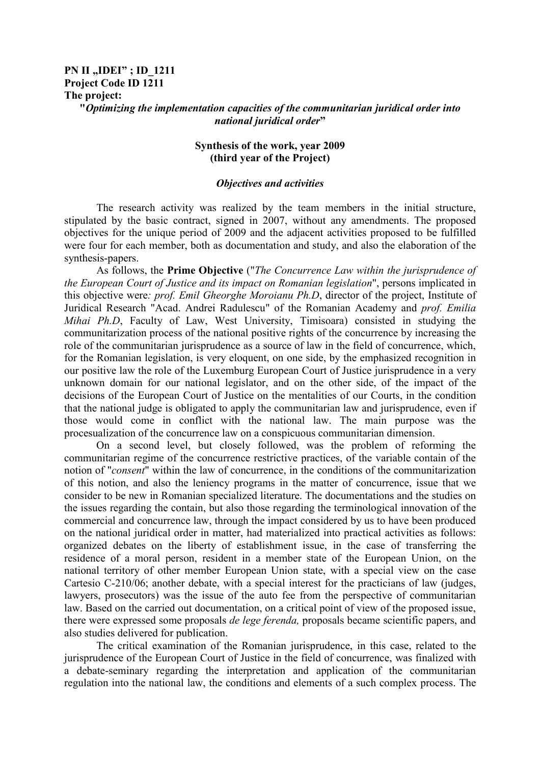## **PN II** "**IDEI"**; **ID** 1211 **Project Code ID 1211 The project: "***Optimizing the implementation capacities of the communitarian juridical order into national juridical order***"**

## **Synthesis of the work, year 2009 (third year of the Project)**

## *Objectives and activities*

 The research activity was realized by the team members in the initial structure, stipulated by the basic contract, signed in 2007, without any amendments. The proposed objectives for the unique period of 2009 and the adjacent activities proposed to be fulfilled were four for each member, both as documentation and study, and also the elaboration of the synthesis-papers.

 As follows, the **Prime Objective** ("*The Concurrence Law within the jurisprudence of the European Court of Justice and its impact on Romanian legislation*", persons implicated in this objective were*: prof. Emil Gheorghe Moroianu Ph.D*, director of the project, Institute of Juridical Research "Acad. Andrei Radulescu" of the Romanian Academy and *prof. Emilia Mihai Ph.D*, Faculty of Law, West University, Timisoara) consisted in studying the communitarization process of the national positive rights of the concurrence by increasing the role of the communitarian jurisprudence as a source of law in the field of concurrence, which, for the Romanian legislation, is very eloquent, on one side, by the emphasized recognition in our positive law the role of the Luxemburg European Court of Justice jurisprudence in a very unknown domain for our national legislator, and on the other side, of the impact of the decisions of the European Court of Justice on the mentalities of our Courts, in the condition that the national judge is obligated to apply the communitarian law and jurisprudence, even if those would come in conflict with the national law. The main purpose was the procesualization of the concurrence law on a conspicuous communitarian dimension.

 On a second level, but closely followed, was the problem of reforming the communitarian regime of the concurrence restrictive practices, of the variable contain of the notion of "*consent*" within the law of concurrence, in the conditions of the communitarization of this notion, and also the leniency programs in the matter of concurrence, issue that we consider to be new in Romanian specialized literature. The documentations and the studies on the issues regarding the contain, but also those regarding the terminological innovation of the commercial and concurrence law, through the impact considered by us to have been produced on the national juridical order in matter, had materialized into practical activities as follows: organized debates on the liberty of establishment issue, in the case of transferring the residence of a moral person, resident in a member state of the European Union, on the national territory of other member European Union state, with a special view on the case Cartesio C-210/06; another debate, with a special interest for the practicians of law (judges, lawyers, prosecutors) was the issue of the auto fee from the perspective of communitarian law. Based on the carried out documentation, on a critical point of view of the proposed issue, there were expressed some proposals *de lege ferenda,* proposals became scientific papers, and also studies delivered for publication.

The critical examination of the Romanian jurisprudence, in this case, related to the jurisprudence of the European Court of Justice in the field of concurrence, was finalized with a debate-seminary regarding the interpretation and application of the communitarian regulation into the national law, the conditions and elements of a such complex process. The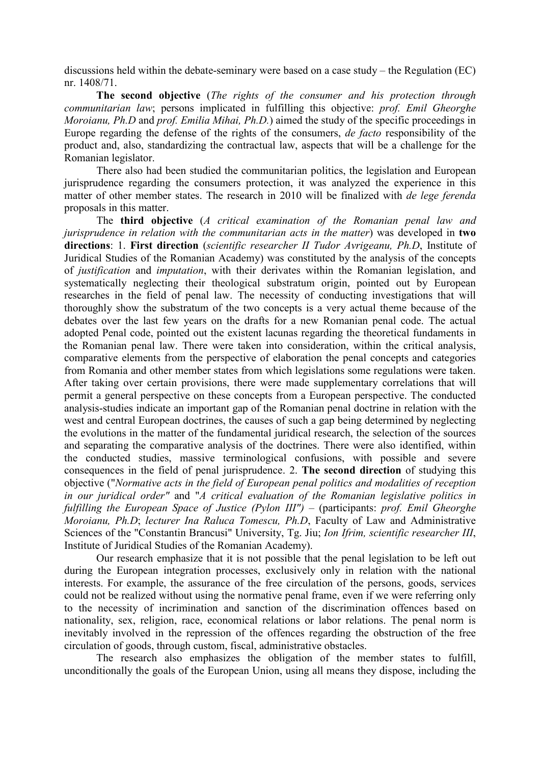discussions held within the debate-seminary were based on a case study – the Regulation (EC) nr. 1408/71.

**The second objective** (*The rights of the consumer and his protection through communitarian law*; persons implicated in fulfilling this objective: *prof. Emil Gheorghe Moroianu, Ph.D* and *prof. Emilia Mihai, Ph.D.*) aimed the study of the specific proceedings in Europe regarding the defense of the rights of the consumers, *de facto* responsibility of the product and, also, standardizing the contractual law, aspects that will be a challenge for the Romanian legislator.

 There also had been studied the communitarian politics, the legislation and European jurisprudence regarding the consumers protection, it was analyzed the experience in this matter of other member states. The research in 2010 will be finalized with *de lege ferenda* proposals in this matter.

 The **third objective** (*A critical examination of the Romanian penal law and jurisprudence in relation with the communitarian acts in the matter*) was developed in **two directions**: 1. **First direction** (*scientific researcher II Tudor Avrigeanu, Ph.D*, Institute of Juridical Studies of the Romanian Academy) was constituted by the analysis of the concepts of *justification* and *imputation*, with their derivates within the Romanian legislation, and systematically neglecting their theological substratum origin, pointed out by European researches in the field of penal law. The necessity of conducting investigations that will thoroughly show the substratum of the two concepts is a very actual theme because of the debates over the last few years on the drafts for a new Romanian penal code. The actual adopted Penal code, pointed out the existent lacunas regarding the theoretical fundaments in the Romanian penal law. There were taken into consideration, within the critical analysis, comparative elements from the perspective of elaboration the penal concepts and categories from Romania and other member states from which legislations some regulations were taken. After taking over certain provisions, there were made supplementary correlations that will permit a general perspective on these concepts from a European perspective. The conducted analysis-studies indicate an important gap of the Romanian penal doctrine in relation with the west and central European doctrines, the causes of such a gap being determined by neglecting the evolutions in the matter of the fundamental juridical research, the selection of the sources and separating the comparative analysis of the doctrines. There were also identified, within the conducted studies, massive terminological confusions, with possible and severe consequences in the field of penal jurisprudence. 2. **The second direction** of studying this objective ("*Normative acts in the field of European penal politics and modalities of reception in our juridical order"* and "*A critical evaluation of the Romanian legislative politics in fulfilling the European Space of Justice (Pylon III")* – (participants: *prof. Emil Gheorghe Moroianu, Ph.D*; *lecturer Ina Raluca Tomescu, Ph.D*, Faculty of Law and Administrative Sciences of the "Constantin Brancusi" University, Tg. Jiu; *Ion Ifrim, scientific researcher III*, Institute of Juridical Studies of the Romanian Academy).

 Our research emphasize that it is not possible that the penal legislation to be left out during the European integration processes, exclusively only in relation with the national interests. For example, the assurance of the free circulation of the persons, goods, services could not be realized without using the normative penal frame, even if we were referring only to the necessity of incrimination and sanction of the discrimination offences based on nationality, sex, religion, race, economical relations or labor relations. The penal norm is inevitably involved in the repression of the offences regarding the obstruction of the free circulation of goods, through custom, fiscal, administrative obstacles.

 The research also emphasizes the obligation of the member states to fulfill, unconditionally the goals of the European Union, using all means they dispose, including the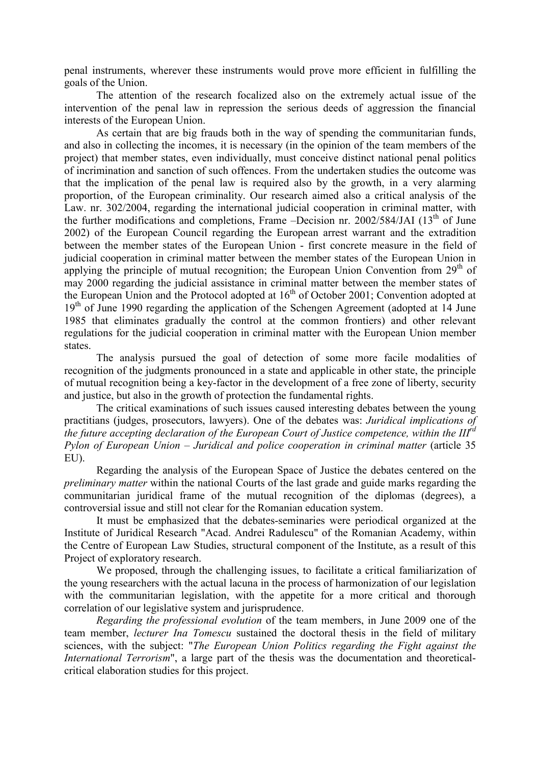penal instruments, wherever these instruments would prove more efficient in fulfilling the goals of the Union.

 The attention of the research focalized also on the extremely actual issue of the intervention of the penal law in repression the serious deeds of aggression the financial interests of the European Union.

 As certain that are big frauds both in the way of spending the communitarian funds, and also in collecting the incomes, it is necessary (in the opinion of the team members of the project) that member states, even individually, must conceive distinct national penal politics of incrimination and sanction of such offences. From the undertaken studies the outcome was that the implication of the penal law is required also by the growth, in a very alarming proportion, of the European criminality. Our research aimed also a critical analysis of the Law. nr. 302/2004, regarding the international judicial cooperation in criminal matter, with the further modifications and completions, Frame  $-$ Decision nr. 2002/584/JAI (13<sup>th</sup> of June 2002) of the European Council regarding the European arrest warrant and the extradition between the member states of the European Union - first concrete measure in the field of judicial cooperation in criminal matter between the member states of the European Union in applying the principle of mutual recognition; the European Union Convention from  $29<sup>th</sup>$  of may 2000 regarding the judicial assistance in criminal matter between the member states of the European Union and the Protocol adopted at  $16<sup>th</sup>$  of October 2001; Convention adopted at  $19<sup>th</sup>$  of June 1990 regarding the application of the Schengen Agreement (adopted at 14 June 1985 that eliminates gradually the control at the common frontiers) and other relevant regulations for the judicial cooperation in criminal matter with the European Union member states.

 The analysis pursued the goal of detection of some more facile modalities of recognition of the judgments pronounced in a state and applicable in other state, the principle of mutual recognition being a key-factor in the development of a free zone of liberty, security and justice, but also in the growth of protection the fundamental rights.

 The critical examinations of such issues caused interesting debates between the young practitians (judges, prosecutors, lawyers). One of the debates was: *Juridical implications of the future accepting declaration of the European Court of Justice competence, within the IIIrd Pylon of European Union* – *Juridical and police cooperation in criminal matter* (article 35 EU).

 Regarding the analysis of the European Space of Justice the debates centered on the *preliminary matter* within the national Courts of the last grade and guide marks regarding the communitarian juridical frame of the mutual recognition of the diplomas (degrees), a controversial issue and still not clear for the Romanian education system.

 It must be emphasized that the debates-seminaries were periodical organized at the Institute of Juridical Research "Acad. Andrei Radulescu" of the Romanian Academy, within the Centre of European Law Studies, structural component of the Institute, as a result of this Project of exploratory research.

 We proposed, through the challenging issues, to facilitate a critical familiarization of the young researchers with the actual lacuna in the process of harmonization of our legislation with the communitarian legislation, with the appetite for a more critical and thorough correlation of our legislative system and jurisprudence.

*Regarding the professional evolution* of the team members, in June 2009 one of the team member, *lecturer Ina Tomescu* sustained the doctoral thesis in the field of military sciences, with the subject: "*The European Union Politics regarding the Fight against the International Terrorism*", a large part of the thesis was the documentation and theoreticalcritical elaboration studies for this project.